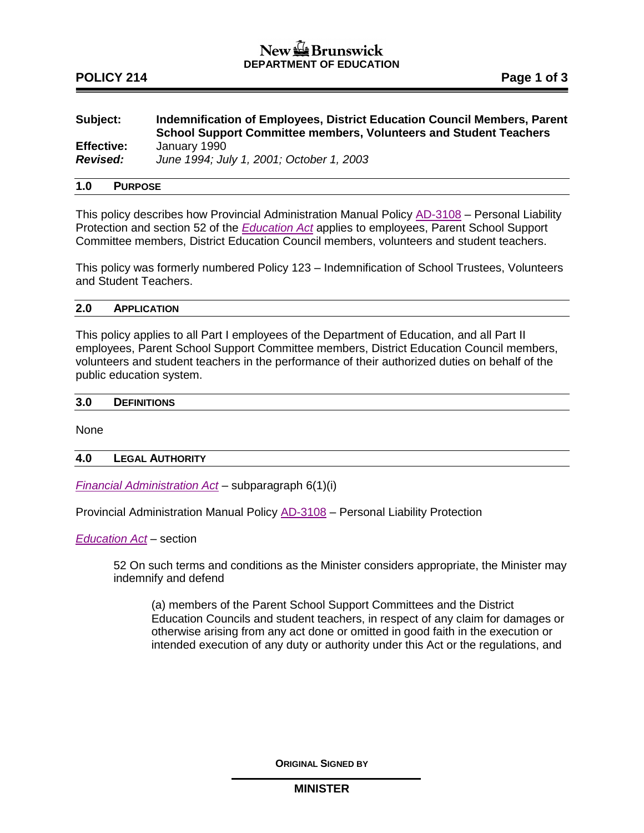## New the Brunswick **DEPARTMENT OF EDUCATION**

# **POLICY 214 Page 1 of 3**

| Subject:          | Indemnification of Employees, District Education Council Members, Parent<br><b>School Support Committee members, Volunteers and Student Teachers</b> |
|-------------------|------------------------------------------------------------------------------------------------------------------------------------------------------|
| <b>Effective:</b> | January 1990                                                                                                                                         |
| <b>Revised:</b>   | June 1994; July 1, 2001; October 1, 2003                                                                                                             |

## **1.0 PURPOSE**

This policy describes how Provincial Administration Manual Policy [AD-3108](http://intranet.gnb.ca/intellinet/adminman/adminman/3108-e.asp) – Personal Liability Protection and section 52 of the *[Education Act](http://laws.gnb.ca/en/ShowPdf/cs/E-1.12.pdf)* applies to employees, Parent School Support Committee members, District Education Council members, volunteers and student teachers.

This policy was formerly numbered Policy 123 – Indemnification of School Trustees, Volunteers and Student Teachers.

## **2.0 APPLICATION**

This policy applies to all Part I employees of the Department of Education, and all Part II employees, Parent School Support Committee members, District Education Council members, volunteers and student teachers in the performance of their authorized duties on behalf of the public education system.

#### **3.0 DEFINITIONS**

None

## **4.0 LEGAL AUTHORITY**

*[Financial Administration Act](http://laws.gnb.ca/en/ShowPdf/cs/2011-c.160.pdf) –* subparagraph 6(1)(i)

Provincial Administration Manual Policy [AD-3108](http://intranet.gnb.ca/intellinet/adminman/adminman/3108-e.asp) – Personal Liability Protection

*[Education Act](http://laws.gnb.ca/en/ShowPdf/cs/E-1.12.pdf) –* section

52 On such terms and conditions as the Minister considers appropriate, the Minister may indemnify and defend

(a) members of the Parent School Support Committees and the District Education Councils and student teachers, in respect of any claim for damages or otherwise arising from any act done or omitted in good faith in the execution or intended execution of any duty or authority under this Act or the regulations, and

**ORIGINAL SIGNED BY**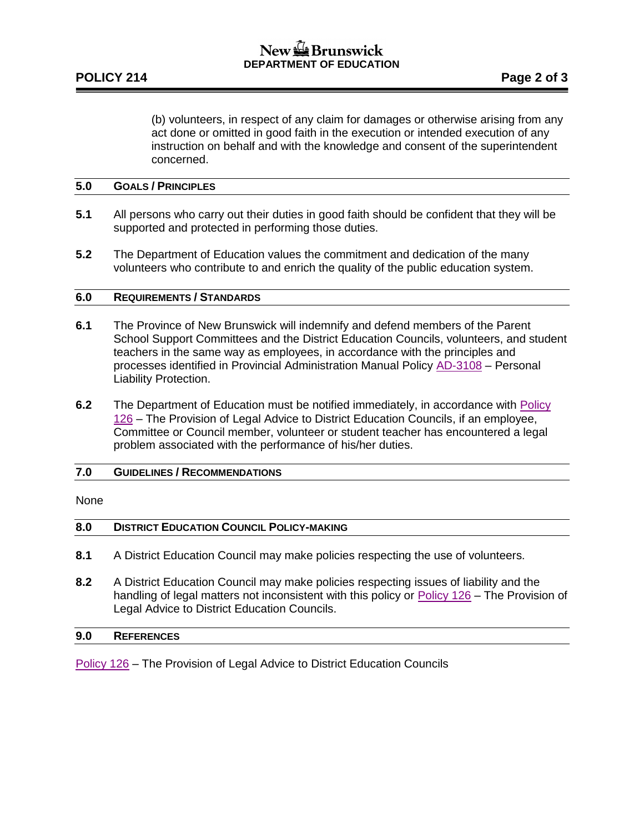(b) volunteers, in respect of any claim for damages or otherwise arising from any act done or omitted in good faith in the execution or intended execution of any instruction on behalf and with the knowledge and consent of the superintendent concerned.

## **5.0 GOALS / PRINCIPLES**

- **5.1** All persons who carry out their duties in good faith should be confident that they will be supported and protected in performing those duties.
- **5.2** The Department of Education values the commitment and dedication of the many volunteers who contribute to and enrich the quality of the public education system.

## **6.0 REQUIREMENTS / STANDARDS**

- **6.1** The Province of New Brunswick will indemnify and defend members of the Parent School Support Committees and the District Education Councils, volunteers, and student teachers in the same way as employees, in accordance with the principles and processes identified in Provincial Administration Manual Policy [AD-3108](http://intranet.gnb.ca/intellinet/adminman/adminman/3108-e.asp) – Personal Liability Protection.
- **6.2** The Department of Education must be notified immediately, in accordance with [Policy](http://www2.gnb.ca/content/dam/gnb/Departments/ed/pdf/K12/policies-politiques/e/126A.pdf)  [126](http://www2.gnb.ca/content/dam/gnb/Departments/ed/pdf/K12/policies-politiques/e/126A.pdf) – The Provision of Legal Advice to District Education Councils, if an employee, Committee or Council member, volunteer or student teacher has encountered a legal problem associated with the performance of his/her duties.

## **7.0 GUIDELINES / RECOMMENDATIONS**

## None

## **8.0 DISTRICT EDUCATION COUNCIL POLICY-MAKING**

- **8.1** A District Education Council may make policies respecting the use of volunteers.
- **8.2** A District Education Council may make policies respecting issues of liability and the handling of legal matters not inconsistent with this policy or [Policy 126](http://www2.gnb.ca/content/dam/gnb/Departments/ed/pdf/K12/policies-politiques/e/126A.pdf) – The Provision of Legal Advice to District Education Councils.

## **9.0 REFERENCES**

[Policy 126](http://www2.gnb.ca/content/dam/gnb/Departments/ed/pdf/K12/policies-politiques/e/126A.pdf) – The Provision of Legal Advice to District Education Councils